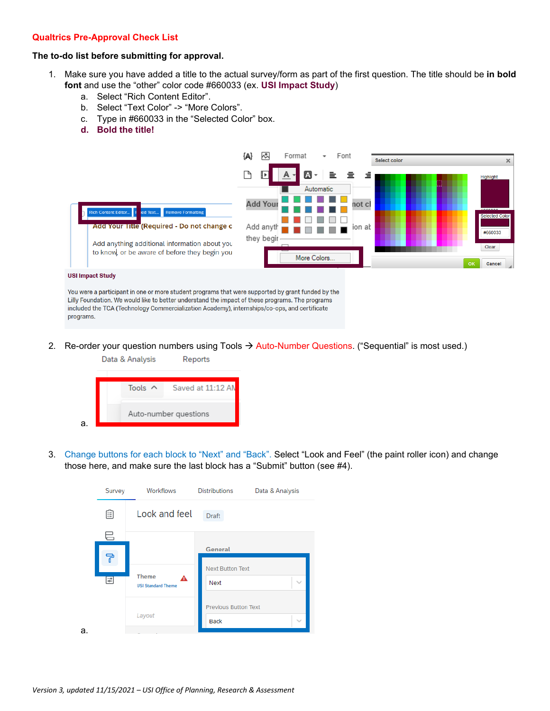## **Qualtrics Pre-Approval Check List**

# **The to-do list before submitting for approval.**

- 1. Make sure you have added a title to the actual survey/form as part of the first question. The title should be **in bold font** and use the "other" color code #660033 (ex. **USI Impact Study**)
	- a. Select "Rich Content Editor".
	- b. Select "Text Color" -> "More Colors".
	- c. Type in #660033 in the "Selected Color" box.
	- **d. Bold the title!**



You were a participant in one or more student programs that were supported by grant funded by the Lilly Foundation. We would like to better understand the impact of these programs. The programs included the TCA (Technology Commercialization Academy), internships/co-ops, and certificate programs.

2. Re-order your question numbers using Tools  $\rightarrow$  Auto-Number Questions. ("Sequential" is most used.)



3. Change buttons for each block to "Next" and "Back". Select "Look and Feel" (the paint roller icon) and change those here, and make sure the last block has a "Submit" button (see #4).

|    | Survey | Workflows                                      | <b>Distributions</b><br>Data & Analysis              |  |
|----|--------|------------------------------------------------|------------------------------------------------------|--|
|    | ê      | Look and feel                                  | <b>Draft</b>                                         |  |
|    | 巳      |                                                |                                                      |  |
|    | 무      |                                                | General<br><b>Next Button Text</b>                   |  |
|    | 圖      | <b>Theme</b><br>А<br><b>USI Standard Theme</b> | Next<br>$\sim$                                       |  |
|    |        | Layout                                         | <b>Previous Button Text</b><br><b>Back</b><br>$\sim$ |  |
| a. |        |                                                |                                                      |  |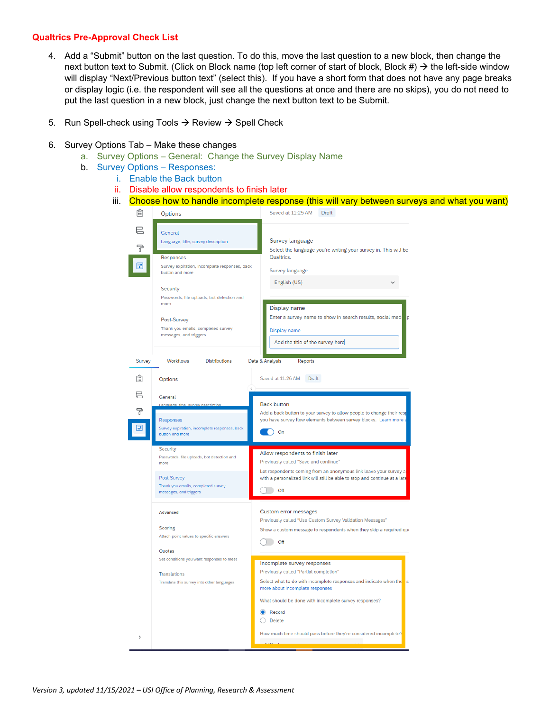### **Qualtrics Pre-Approval Check List**

- 4. Add a "Submit" button on the last question. To do this, move the last question to a new block, then change the next button text to Submit. (Click on Block name (top left corner of start of block, Block #)  $\rightarrow$  the left-side window will display "Next/Previous button text" (select this). If you have a short form that does not have any page breaks or display logic (i.e. the respondent will see all the questions at once and there are no skips), you do not need to put the last question in a new block, just change the next button text to be Submit.
- 5. Run Spell-check using Tools  $\rightarrow$  Review  $\rightarrow$  Spell Check

#### 6. Survey Options Tab – Make these changes

- a. Survey Options General: Change the Survey Display Name
- b. Survey Options Responses:
	- i. Enable the Back button
	- ii. Disable allow respondents to finish later
	- iii. Choose how to handle incomplete response (this will vary between surveys and what you want)